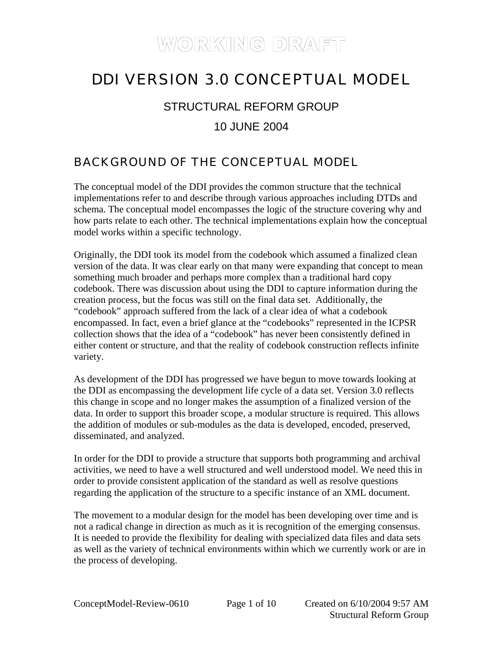## DDI VERSION 3.0 CONCEPTUAL MODEL

### STRUCTURAL REFORM GROUP

#### 10 JUNE 2004

### BACKGROUND OF THE CONCEPTUAL MODEL

The conceptual model of the DDI provides the common structure that the technical implementations refer to and describe through various approaches including DTDs and schema. The conceptual model encompasses the logic of the structure covering why and how parts relate to each other. The technical implementations explain how the conceptual model works within a specific technology.

Originally, the DDI took its model from the codebook which assumed a finalized clean version of the data. It was clear early on that many were expanding that concept to mean something much broader and perhaps more complex than a traditional hard copy codebook. There was discussion about using the DDI to capture information during the creation process, but the focus was still on the final data set. Additionally, the "codebook" approach suffered from the lack of a clear idea of what a codebook encompassed. In fact, even a brief glance at the "codebooks" represented in the ICPSR collection shows that the idea of a "codebook" has never been consistently defined in either content or structure, and that the reality of codebook construction reflects infinite variety.

As development of the DDI has progressed we have begun to move towards looking at the DDI as encompassing the development life cycle of a data set. Version 3.0 reflects this change in scope and no longer makes the assumption of a finalized version of the data. In order to support this broader scope, a modular structure is required. This allows the addition of modules or sub-modules as the data is developed, encoded, preserved, disseminated, and analyzed.

In order for the DDI to provide a structure that supports both programming and archival activities, we need to have a well structured and well understood model. We need this in order to provide consistent application of the standard as well as resolve questions regarding the application of the structure to a specific instance of an XML document.

The movement to a modular design for the model has been developing over time and is not a radical change in direction as much as it is recognition of the emerging consensus. It is needed to provide the flexibility for dealing with specialized data files and data sets as well as the variety of technical environments within which we currently work or are in the process of developing.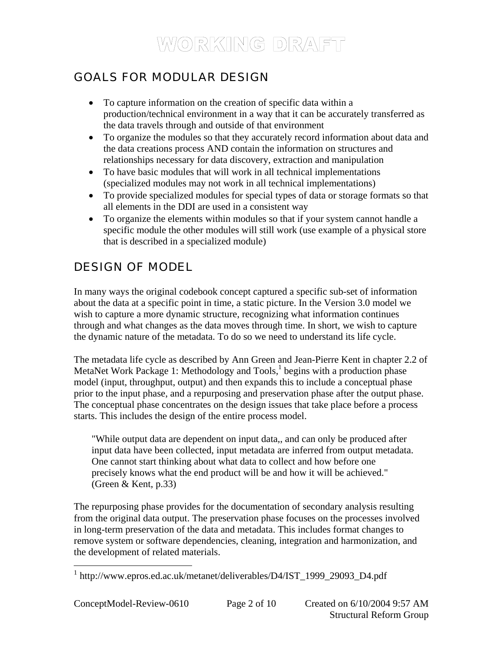### GOALS FOR MODULAR DESIGN

- To capture information on the creation of specific data within a production/technical environment in a way that it can be accurately transferred as the data travels through and outside of that environment
- To organize the modules so that they accurately record information about data and the data creations process AND contain the information on structures and relationships necessary for data discovery, extraction and manipulation
- To have basic modules that will work in all technical implementations (specialized modules may not work in all technical implementations)
- To provide specialized modules for special types of data or storage formats so that all elements in the DDI are used in a consistent way
- To organize the elements within modules so that if your system cannot handle a specific module the other modules will still work (use example of a physical store that is described in a specialized module)

### DESIGN OF MODEL

In many ways the original codebook concept captured a specific sub-set of information about the data at a specific point in time, a static picture. In the Version 3.0 model we wish to capture a more dynamic structure, recognizing what information continues through and what changes as the data moves through time. In short, we wish to capture the dynamic nature of the metadata. To do so we need to understand its life cycle.

The metadata life cycle as described by Ann Green and Jean-Pierre Kent in chapter 2.2 of MetaNet Work Package [1](#page-1-0): Methodology and Tools,<sup>1</sup> begins with a production phase model (input, throughput, output) and then expands this to include a conceptual phase prior to the input phase, and a repurposing and preservation phase after the output phase. The conceptual phase concentrates on the design issues that take place before a process starts. This includes the design of the entire process model.

"While output data are dependent on input data,, and can only be produced after input data have been collected, input metadata are inferred from output metadata. One cannot start thinking about what data to collect and how before one precisely knows what the end product will be and how it will be achieved." (Green & Kent, p.33)

The repurposing phase provides for the documentation of secondary analysis resulting from the original data output. The preservation phase focuses on the processes involved in long-term preservation of the data and metadata. This includes format changes to remove system or software dependencies, cleaning, integration and harmonization, and the development of related materials.

<span id="page-1-0"></span> 1 http://www.epros.ed.ac.uk/metanet/deliverables/D4/IST\_1999\_29093\_D4.pdf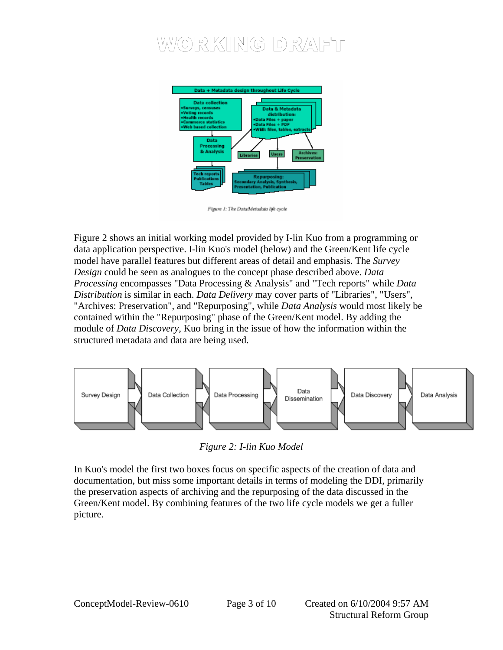

Figure 1: The DataMetadata life ovele

Figure 2 shows an initial working model provided by I-lin Kuo from a programming or data application perspective. I-lin Kuo's model (below) and the Green/Kent life cycle model have parallel features but different areas of detail and emphasis. The *Survey Design* could be seen as analogues to the concept phase described above. *Data Processing* encompasses "Data Processing & Analysis" and "Tech reports" while *Data Distribution* is similar in each. *Data Delivery* may cover parts of "Libraries", "Users", "Archives: Preservation", and "Repurposing", while *Data Analysis* would most likely be contained within the "Repurposing" phase of the Green/Kent model. By adding the module of *Data Discovery*, Kuo bring in the issue of how the information within the structured metadata and data are being used.



*Figure 2: I-lin Kuo Model* 

In Kuo's model the first two boxes focus on specific aspects of the creation of data and documentation, but miss some important details in terms of modeling the DDI, primarily the preservation aspects of archiving and the repurposing of the data discussed in the Green/Kent model. By combining features of the two life cycle models we get a fuller picture.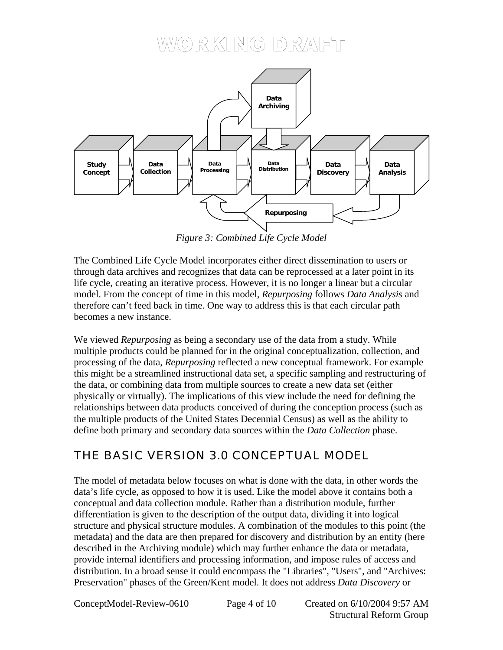

*Figure 3: Combined Life Cycle Model* 

The Combined Life Cycle Model incorporates either direct dissemination to users or through data archives and recognizes that data can be reprocessed at a later point in its life cycle, creating an iterative process. However, it is no longer a linear but a circular model. From the concept of time in this model, *Repurposing* follows *Data Analysis* and therefore can't feed back in time. One way to address this is that each circular path becomes a new instance.

We viewed *Repurposing* as being a secondary use of the data from a study. While multiple products could be planned for in the original conceptualization, collection, and processing of the data, *Repurposing* reflected a new conceptual framework. For example this might be a streamlined instructional data set, a specific sampling and restructuring of the data, or combining data from multiple sources to create a new data set (either physically or virtually). The implications of this view include the need for defining the relationships between data products conceived of during the conception process (such as the multiple products of the United States Decennial Census) as well as the ability to define both primary and secondary data sources within the *Data Collection* phase.

### THE BASIC VERSION 3.0 CONCEPTUAL MODEL

The model of metadata below focuses on what is done with the data, in other words the data's life cycle, as opposed to how it is used. Like the model above it contains both a conceptual and data collection module. Rather than a distribution module, further differentiation is given to the description of the output data, dividing it into logical structure and physical structure modules. A combination of the modules to this point (the metadata) and the data are then prepared for discovery and distribution by an entity (here described in the Archiving module) which may further enhance the data or metadata, provide internal identifiers and processing information, and impose rules of access and distribution. In a broad sense it could encompass the "Libraries", "Users", and "Archives: Preservation" phases of the Green/Kent model. It does not address *Data Discovery* or

ConceptModel-Review-0610 Page 4 of 10 Created on 6/10/2004 9:57 AM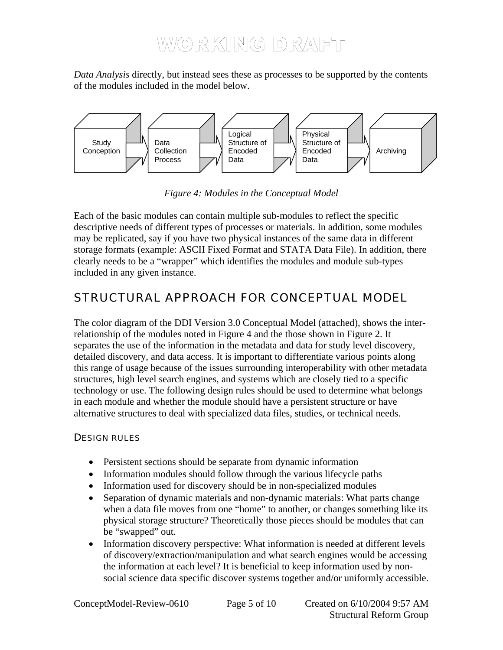*Data Analysis* directly, but instead sees these as processes to be supported by the contents of the modules included in the model below.



*Figure 4: Modules in the Conceptual Model* 

Each of the basic modules can contain multiple sub-modules to reflect the specific descriptive needs of different types of processes or materials. In addition, some modules may be replicated, say if you have two physical instances of the same data in different storage formats (example: ASCII Fixed Format and STATA Data File). In addition, there clearly needs to be a "wrapper" which identifies the modules and module sub-types included in any given instance.

### STRUCTURAL APPROACH FOR CONCEPTUAL MODEL

The color diagram of the DDI Version 3.0 Conceptual Model (attached), shows the interrelationship of the modules noted in Figure 4 and the those shown in Figure 2. It separates the use of the information in the metadata and data for study level discovery, detailed discovery, and data access. It is important to differentiate various points along this range of usage because of the issues surrounding interoperability with other metadata structures, high level search engines, and systems which are closely tied to a specific technology or use. The following design rules should be used to determine what belongs in each module and whether the module should have a persistent structure or have alternative structures to deal with specialized data files, studies, or technical needs.

#### DESIGN RULES

- Persistent sections should be separate from dynamic information
- Information modules should follow through the various lifecycle paths
- Information used for discovery should be in non-specialized modules
- Separation of dynamic materials and non-dynamic materials: What parts change when a data file moves from one "home" to another, or changes something like its physical storage structure? Theoretically those pieces should be modules that can be "swapped" out.
- Information discovery perspective: What information is needed at different levels of discovery/extraction/manipulation and what search engines would be accessing the information at each level? It is beneficial to keep information used by nonsocial science data specific discover systems together and/or uniformly accessible.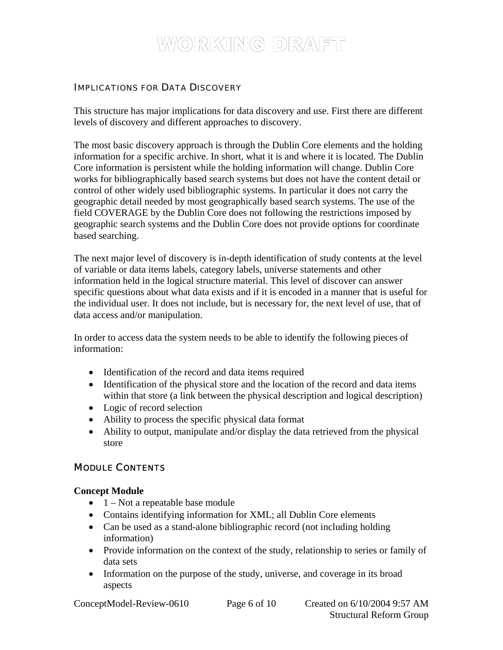#### IMPLICATIONS FOR DATA DISCOVERY

This structure has major implications for data discovery and use. First there are different levels of discovery and different approaches to discovery.

The most basic discovery approach is through the Dublin Core elements and the holding information for a specific archive. In short, what it is and where it is located. The Dublin Core information is persistent while the holding information will change. Dublin Core works for bibliographically based search systems but does not have the content detail or control of other widely used bibliographic systems. In particular it does not carry the geographic detail needed by most geographically based search systems. The use of the field COVERAGE by the Dublin Core does not following the restrictions imposed by geographic search systems and the Dublin Core does not provide options for coordinate based searching.

The next major level of discovery is in-depth identification of study contents at the level of variable or data items labels, category labels, universe statements and other information held in the logical structure material. This level of discover can answer specific questions about what data exists and if it is encoded in a manner that is useful for the individual user. It does not include, but is necessary for, the next level of use, that of data access and/or manipulation.

In order to access data the system needs to be able to identify the following pieces of information:

- Identification of the record and data items required
- Identification of the physical store and the location of the record and data items within that store (a link between the physical description and logical description)
- Logic of record selection
- Ability to process the specific physical data format
- Ability to output, manipulate and/or display the data retrieved from the physical store

#### MODULE CONTENTS

#### **Concept Module**

- $\bullet$  1 Not a repeatable base module
- Contains identifying information for XML; all Dublin Core elements
- Can be used as a stand-alone bibliographic record (not including holding information)
- Provide information on the context of the study, relationship to series or family of data sets
- Information on the purpose of the study, universe, and coverage in its broad aspects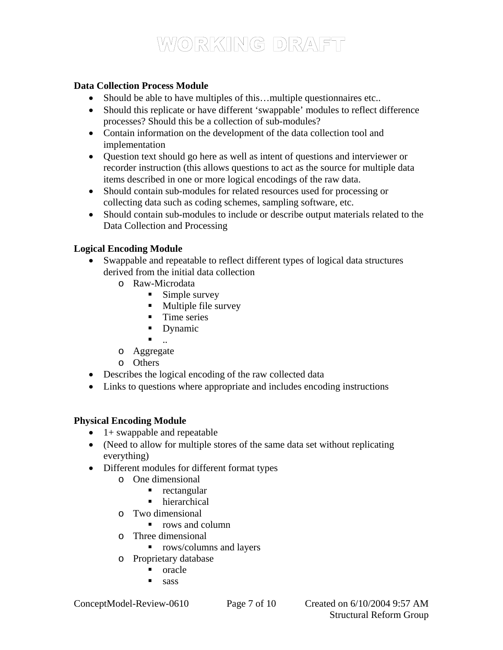#### **Data Collection Process Module**

- Should be able to have multiples of this...multiple questionnaires etc..
- Should this replicate or have different 'swappable' modules to reflect difference processes? Should this be a collection of sub-modules?
- Contain information on the development of the data collection tool and implementation
- Question text should go here as well as intent of questions and interviewer or recorder instruction (this allows questions to act as the source for multiple data items described in one or more logical encodings of the raw data.
- Should contain sub-modules for related resources used for processing or collecting data such as coding schemes, sampling software, etc.
- Should contain sub-modules to include or describe output materials related to the Data Collection and Processing

#### **Logical Encoding Module**

- Swappable and repeatable to reflect different types of logical data structures derived from the initial data collection
	- o Raw-Microdata
		- **Simple survey**
		- **Multiple file survey**
		- **Time series**
		- Dynamic
		- ..
	- o Aggregate
	- o Others
- Describes the logical encoding of the raw collected data
- Links to questions where appropriate and includes encoding instructions

#### **Physical Encoding Module**

- $\bullet$  1+ swappable and repeatable
- (Need to allow for multiple stores of the same data set without replicating everything)
- Different modules for different format types
	- o One dimensional
		- $rectangular$
		- hierarchical
	- o Two dimensional
		- rows and column
	- o Three dimensional
		- **•** rows/columns and layers
	- o Proprietary database
		- oracle
		- $\blacksquare$  sass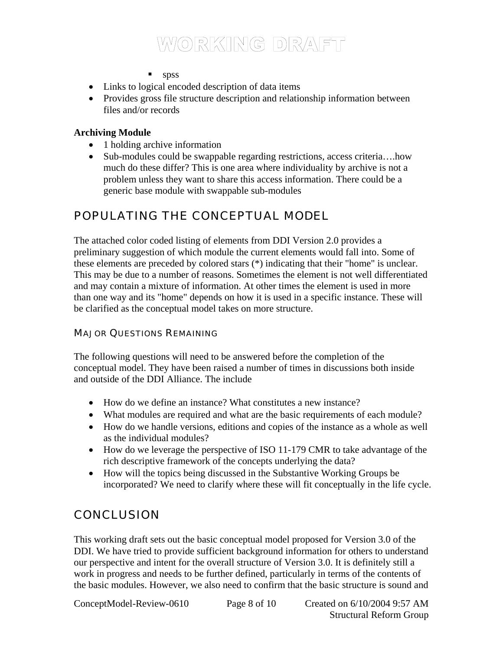$\blacksquare$  spss

- Links to logical encoded description of data items
- Provides gross file structure description and relationship information between files and/or records

#### **Archiving Module**

- 1 holding archive information
- Sub-modules could be swappable regarding restrictions, access criteria....how much do these differ? This is one area where individuality by archive is not a problem unless they want to share this access information. There could be a generic base module with swappable sub-modules

### POPULATING THE CONCEPTUAL MODEL

The attached color coded listing of elements from DDI Version 2.0 provides a preliminary suggestion of which module the current elements would fall into. Some of these elements are preceded by colored stars (\*) indicating that their "home" is unclear. This may be due to a number of reasons. Sometimes the element is not well differentiated and may contain a mixture of information. At other times the element is used in more than one way and its "home" depends on how it is used in a specific instance. These will be clarified as the conceptual model takes on more structure.

#### MAJOR QUESTIONS REMAINING

The following questions will need to be answered before the completion of the conceptual model. They have been raised a number of times in discussions both inside and outside of the DDI Alliance. The include

- How do we define an instance? What constitutes a new instance?
- What modules are required and what are the basic requirements of each module?
- How do we handle versions, editions and copies of the instance as a whole as well as the individual modules?
- How do we leverage the perspective of ISO 11-179 CMR to take advantage of the rich descriptive framework of the concepts underlying the data?
- How will the topics being discussed in the Substantive Working Groups be incorporated? We need to clarify where these will fit conceptually in the life cycle.

### **CONCLUSION**

This working draft sets out the basic conceptual model proposed for Version 3.0 of the DDI. We have tried to provide sufficient background information for others to understand our perspective and intent for the overall structure of Version 3.0. It is definitely still a work in progress and needs to be further defined, particularly in terms of the contents of the basic modules. However, we also need to confirm that the basic structure is sound and

ConceptModel-Review-0610 Page 8 of 10 Created on 6/10/2004 9:57 AM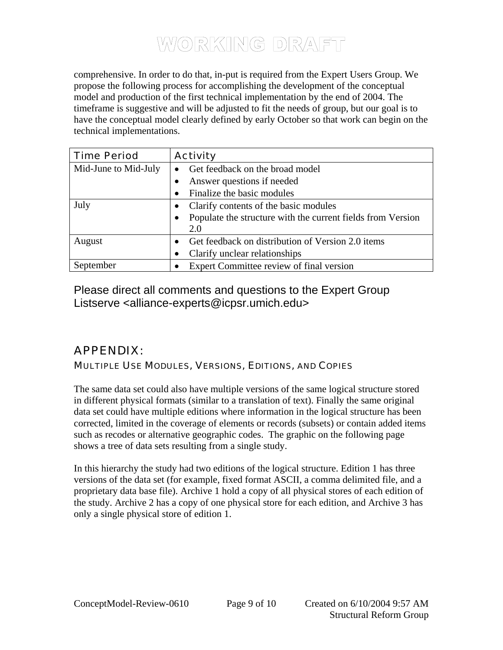comprehensive. In order to do that, in-put is required from the Expert Users Group. We propose the following process for accomplishing the development of the conceptual model and production of the first technical implementation by the end of 2004. The timeframe is suggestive and will be adjusted to fit the needs of group, but our goal is to have the conceptual model clearly defined by early October so that work can begin on the technical implementations.

| <b>Time Period</b>   | <b>Activity</b>                                                          |
|----------------------|--------------------------------------------------------------------------|
| Mid-June to Mid-July | Get feedback on the broad model                                          |
|                      | Answer questions if needed                                               |
|                      | Finalize the basic modules                                               |
| July                 | Clarify contents of the basic modules                                    |
|                      | Populate the structure with the current fields from Version<br>$\bullet$ |
|                      | 2.0                                                                      |
| August               | Get feedback on distribution of Version 2.0 items                        |
|                      | Clarify unclear relationships                                            |
| September            | Expert Committee review of final version                                 |

Please direct all comments and questions to the Expert Group Listserve <alliance-experts@icpsr.umich.edu>

### APPENDIX:

#### MULTIPLE USE MODULES, VERSIONS, EDITIONS, AND COPIES

The same data set could also have multiple versions of the same logical structure stored in different physical formats (similar to a translation of text). Finally the same original data set could have multiple editions where information in the logical structure has been corrected, limited in the coverage of elements or records (subsets) or contain added items such as recodes or alternative geographic codes. The graphic on the following page shows a tree of data sets resulting from a single study.

In this hierarchy the study had two editions of the logical structure. Edition 1 has three versions of the data set (for example, fixed format ASCII, a comma delimited file, and a proprietary data base file). Archive 1 hold a copy of all physical stores of each edition of the study. Archive 2 has a copy of one physical store for each edition, and Archive 3 has only a single physical store of edition 1.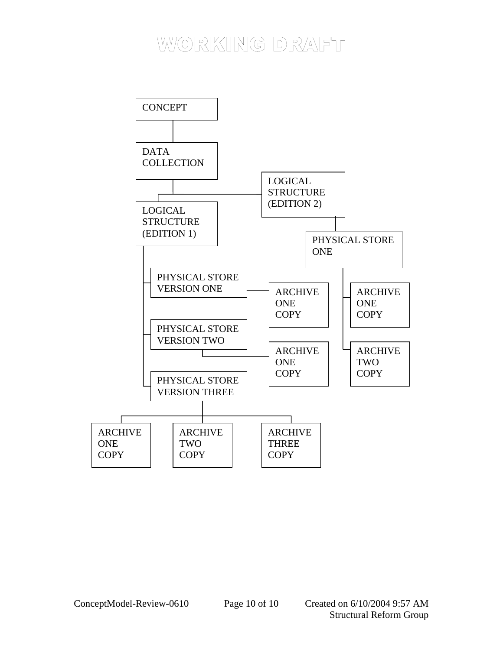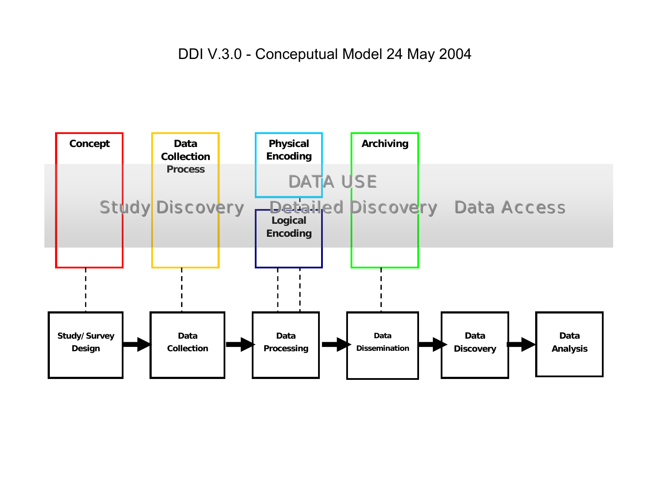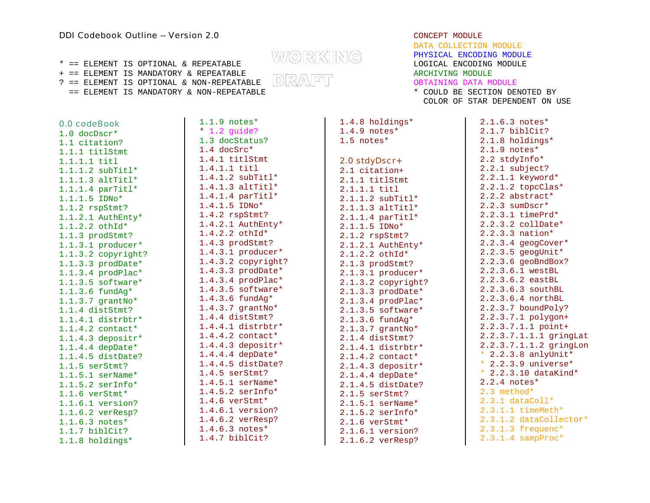+ == ELEMENT IS MANDATORY & REPEATABLE<br>? == ELEMENT IS OPTIONAL & NON-REPEATABLE DDR/ANFTT  $? == **ELEMENT** IS OPTIONAL & **NON-REPEATABLE**$ 

== ELEMENT IS MANDATORY & NON-REPEATABLE \* COULD BE SECTION DENOTED BY

0.0 codeBook 1.0 docDscr\* 1.1 citation? 1.1.1 titlStmt 1.1.1.1 titl 1.1.1.2 subTitl\* 1.1.1.3 altTitl\* 1.1.1.4 parTitl\* 1.1.1.5 IDNo\* 1.1.2 rspStmt? 1.1.2.1 AuthEnty\* 1.1.2.2 othId\* 1.1.3 prodStmt? 1.1.3.1 producer\* 1.1.3.2 copyright? 1.1.3.3 prodDate\* 1.1.3.4 prodPlac\* 1.1.3.5 software\* 1.1.3.6 fundAg\* 1.1.3.7 grantNo\* 1.1.4 distStmt? 1.1.4.1 distrbtr\* 1.1.4.2 contact\* 1.1.4.3 depositr\* 1.1.4.4 depDate\* 1.1.4.5 distDate? 1.1.5 serStmt? 1.1.5.1 serName\* 1.1.5.2 serInfo\* 1.1.6 verStmt\* 1.1.6.1 version? 1.1.6.2 verResp? 1.1.6.3 notes\* 1.1.7 biblCit? 1.1.8 holdings\*

1.1.9 notes\* \* 1.2 guide? 1.3 docStatus? 1.4 docSrc\* 1.4.1 titlStmt 1.4.1.1 titl 1.4.1.2 subTitl\*  $1.4.1.3$  altTitl\* 1.4.1.4 parTitl\* 1.4.1.5 IDNo\* 1.4.2 rspStmt? 1.4.2.1 AuthEnty\* 1.4.2.2 othId\* 1.4.3 prodStmt? 1.4.3.1 producer\* 1.4.3.2 copyright? 1.4.3.3 prodDate\* 1.4.3.4 prodPlac\* 1.4.3.5 software\* 1.4.3.6 fundAg\* 1.4.3.7 grantNo\* 1.4.4 distStmt? 1.4.4.1 distrbtr\* 1.4.4.2 contact\* 1.4.4.3 depositr\* 1.4.4.4 depDate\* 1.4.4.5 distDate? 1.4.5 serStmt? 1.4.5.1 serName\* 1.4.5.2 serInfo\* 1.4.6 verStmt\* 1.4.6.1 version? 1.4.6.2 verResp? 1.4.6.3 notes\* 1.4.7 biblCit?

DATA COLLECTION MODULEPHYSICAL ENCODING MODULE \* == ELEMENT IS OPTIONAL & REPEATABLE LOGICAL ENCODING MODULE

OBTAINING DATA MODULE

COLOR OF STAR DEPENDENT ON USE

1.4.8 holdings\* 1.4.9 notes\* 1.5 notes\* 2.0 stdyDscr+ 2.1 citation+ 2.1.1 titlStmt 2.1.1.1 titl 2.1.1.2 subTitl\* 2.1.1.3 altTitl\* 2.1.1.4 parTitl\* 2.1.1.5 IDNo\* 2.1.2 rspStmt? 2.1.2.1 AuthEnty\* 2.1.2.2 othId\* 2.1.3 prodStmt? 2.1.3.1 producer\* 2.1.3.2 copyright? 2.1.3.3 prodDate\* 2.1.3.4 prodPlac\* 2.1.3.5 software\* 2.1.3.6 fundAg\* 2.1.3.7 grantNo\* 2.1.4 distStmt? 2.1.4.1 distrbtr\* 2.1.4.2 contact\* 2.1.4.3 depositr\* 2.1.4.4 depDate\* 2.1.4.5 distDate? 2.1.5 serStmt? 2.1.5.1 serName\* 2.1.5.2 serInfo\* 2.1.6 verStmt\* 2.1.6.1 version? 2.1.6.2 verResp?

2.1.6.3 notes\* 2.1.7 biblCit? 2.1.8 holdings\* 2.1.9 notes\* 2.2 stdyInfo\* 2.2.1 subject? 2.2.1.1 keyword\* 2.2.1.2 topcClas\* 2.2.2 abstract\* 2.2.3 sumDscr\* 2.2.3.1 timePrd\* 2.2.3.2 collDate\* 2.2.3.3 nation\* 2.2.3.4 geogCover\* 2.2.3.5 geogUnit\* 2.2.3.6 geoBndBox? 2.2.3.6.1 westBL 2.2.3.6.2 eastBL 2.2.3.6.3 southBL 2.2.3.6.4 northBL 2.2.3.7 boundPoly? 2.2.3.7.1 polygon+ 2.2.3.7.1.1 point+ 2.2.3.7.1.1.1 gringLat 2.2.3.7.1.1.2 gringLon  $*$  2.2.3.8 anlyUnit\* \* 2.2.3.9 universe\* \* 2.2.3.10 dataKind\* 2.2.4 notes\* 2.3 method\*  $2.3.1$  dataColl\* 2.3.1.1 timeMeth\* 2.3.1.2 dataCollector\* 2.3.1.3 frequenc\* 2.3.1.4 sampProc\*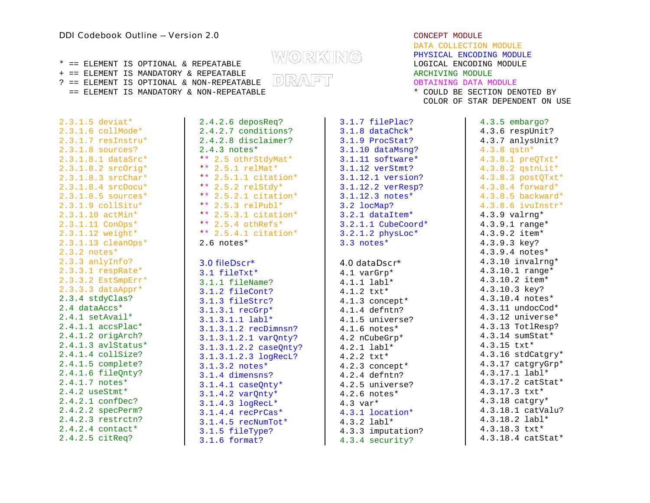#### **DDI Codebook Outline -- Version 2.0 CONCEPT MODULE** CONCEPT MODULE

+ == ELEMENT IS MANDATORY & REPEATABLE<br>? == ELEMENT IS OPTIONAL & NON-REPEATABLE DRVANFTT ARCHIVING DATA M ?  $=$  ELEMENT IS OPTIONAL & NON-REPEATABLE  $\Box$   $\Box$ 

COLOR OF STAR DEPENDENT ON USE

2.3.1.5 deviat\* 2.3.1.6 collMode\* 2.3.1.7 resInstru\* 2.3.1.8 sources? 2.4.3 notes\* 2.3.1.8.1 dataSrc\* 2.3.1.8.2 srcOrig\* 2.3.1.8.3 srcChar\* 2.3.1.8.4 srcDocu\* 2.3.1.8.5 sources\* 2.3.1.9 collSitu\* 2.3.1.10 actMin\* 2.3.1.11 ConOps\* 2.3.1.12 weight\* 2.3.1.13 cleanOps\* 2.3.2 notes\* 2.3.3 anlyInfo? 2.3.3.1 respRate\* 2.3.3.2 EstSmpErr\* 2.3.3.3 dataAppr\* 2.3.4 stdyClas? 2.4 dataAccs\* 2.4.1 setAvail\* 2.4.1.1 accsPlac\* 2.4.1.2 origArch? 2.4.1.3 avlStatus\* 2.4.1.4 collSize? 2.4.1.5 complete? 2.4.1.6 fileQnty? 2.4.1.7 notes\* 2.4.2 useStmt\* 2.4.2.1 confDec? 2.4.2.2 specPerm? 2.4.2.3 restrctn? 2.4.2.4 contact\* 2.4.2.5 citReq?

2.4.2.6 deposReq? 2.4.2.7 conditions? 2.4.2.8 disclaimer? \*\* 2.5 othrStdyMat\* \*\* 2.5.1  $relMat*$ \*\* 2.5.1.1 citation\* \*\* 2.5.2 relStdy\* \*\* 2.5.2.1 citation\*  $** 2.5.3$  relPubl\* \*\* 2.5.3.1 citation\*  $** 2.5.4$  othRefs\* \*\* 2.5.4.1 citation\* 2.6 notes\*

#### 3.0 fileDscr\*

3.1 fileTxt\* 3.1.1 fileName? 3.1.2 fileCont? 3.1.3 fileStrc? 3.1.3.1 recGrp\* 3.1.3.1.1 labl\* 3.1.3.1.2 recDimnsn? 4.1.6 notes\* 3.1.3.1.2.1 varQnty? 3.1.3.1.2.2 caseQnty? 3.1.3.1.2.3 logRecL? 3.1.3.2 notes\* 3.1.4 dimensns?  $3.1.4.1$  caseOnty\* 3.1.4.2 varQnty\* 3.1.4.3 logRecL\* 3.1.4.4 recPrCas\* 3.1.4.5 recNumTot\* 3.1.5 fileType? 3.1.6 format?

DATA COLLECTION MODULEPHYSICAL ENCODING MODULE  $* =$  ELEMENT IS OPTIONAL & REPEATABLE  $\text{W} \textcircled R \text{KIN} \textcircled R$  . PHYSICAL ENCODING MODULE == ELEMENT IS MANDATORY & NON-REPEATABLE \* COULD BE SECTION DENOTED BY

> 3.1.7 filePlac? 3.1.8 dataChck\* 3.1.9 ProcStat? 3.1.10 dataMsng? 3.1.11 software\* 3.1.12 verStmt? 3.1.12.1 version? 3.1.12.2 verResp? 3.1.12.3 notes\* 3.2 locMap? 3.2.1 dataItem\* 3.2.1.1 CubeCoord\* 3.2.1.2 physLoc\* 3.3 notes\*

#### 4.0 dataDscr\*

4.1 varGrp\* 4.1.1 labl\* 4.1.2 txt\* 4.1.3 concept\* 4.1.4 defntn? 4.1.5 universe? 4.2 nCubeGrp\* 4.2.1 labl\* 4.2.2 txt\* 4.2.3 concept\* 4.2.4 defntn? 4.2.5 universe? 4.2.6 notes\* 4.3 var\* 4.3.1 location\* 4.3.2 labl\* 4.3.3 imputation? 4.3.4 security?

4.3.5 embargo? 4.3.6 respUnit? 4.3.7 anlysUnit? 4.3.8 qstn\* 4.3.8.1 preQTxt\* 4.3.8.2 qstnLit\* 4.3.8.3 postQTxt\* 4.3.8.4 forward\* 4.3.8.5 backward\* 4.3.8.6 ivuInstr\* 4.3.9 valrng\* 4.3.9.1 range\* 4.3.9.2 item\* 4.3.9.3 key? 4.3.9.4 notes\* 4.3.10 invalrng\* 4.3.10.1 range\* 4.3.10.2 item\* 4.3.10.3 key? 4.3.10.4 notes\*  $4.3.11$  undocCod $*$ 4.3.12 universe\* 4.3.13 TotlResp? 4.3.14 sumStat\* 4.3.15 txt\* 4.3.16 stdCatgry\* 4.3.17 catgryGrp\* 4.3.17.1 labl\* 4.3.17.2 catStat\* 4.3.17.3 txt\* 4.3.18 catgry\* 4.3.18.1 catValu? 4.3.18.2 labl\* 4.3.18.3 txt\* 4.3.18.4 catStat\*